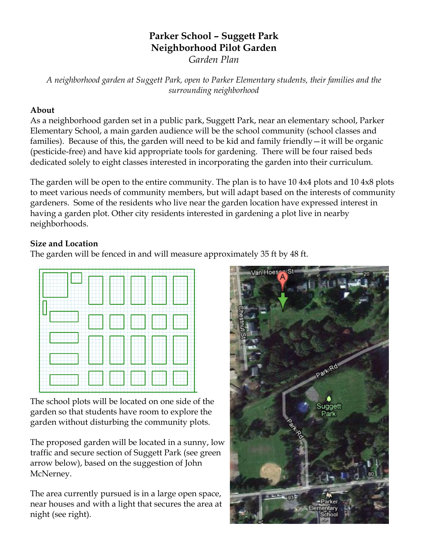# **Parker School – Suggett Park Neighborhood Pilot Garden**

*Garden Plan*

*A neighborhood garden at Suggett Park, open to Parker Elementary students, their families and the surrounding neighborhood*

#### **About**

As a neighborhood garden set in a public park, Suggett Park, near an elementary school, Parker Elementary School, a main garden audience will be the school community (school classes and families). Because of this, the garden will need to be kid and family friendly—it will be organic (pesticide-free) and have kid appropriate tools for gardening. There will be four raised beds dedicated solely to eight classes interested in incorporating the garden into their curriculum.

The garden will be open to the entire community. The plan is to have 10 4x4 plots and 10 4x8 plots to meet various needs of community members, but will adapt based on the interests of community gardeners. Some of the residents who live near the garden location have expressed interest in having a garden plot. Other city residents interested in gardening a plot live in nearby neighborhoods.

#### **Size and Location**

The garden will be fenced in and will measure approximately 35 ft by 48 ft.



The school plots will be located on one side of the garden so that students have room to explore the garden without disturbing the community plots.

The proposed garden will be located in a sunny, low traffic and secure section of Suggett Park (see green arrow below), based on the suggestion of John McNerney.

The area currently pursued is in a large open space, near houses and with a light that secures the area at night (see right).

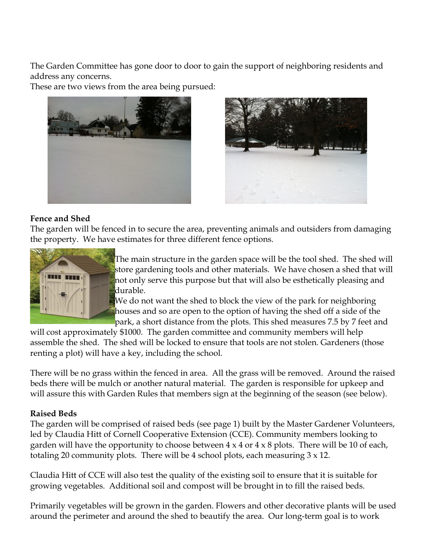The Garden Committee has gone door to door to gain the support of neighboring residents and address any concerns.

These are two views from the area being pursued:





#### **Fence and Shed**

The garden will be fenced in to secure the area, preventing animals and outsiders from damaging the property. We have estimates for three different fence options.



The main structure in the garden space will be the tool shed. The shed will store gardening tools and other materials. We have chosen a shed that will not only serve this purpose but that will also be esthetically pleasing and durable.

We do not want the shed to block the view of the park for neighboring houses and so are open to the option of having the shed off a side of the park, a short distance from the plots. This shed measures 7.5 by 7 feet and

will cost approximately \$1000. The garden committee and community members will help assemble the shed. The shed will be locked to ensure that tools are not stolen. Gardeners (those renting a plot) will have a key, including the school.

There will be no grass within the fenced in area. All the grass will be removed. Around the raised beds there will be mulch or another natural material. The garden is responsible for upkeep and will assure this with Garden Rules that members sign at the beginning of the season (see below).

#### **Raised Beds**

The garden will be comprised of raised beds (see page 1) built by the Master Gardener Volunteers, led by Claudia Hitt of Cornell Cooperative Extension (CCE). Community members looking to garden will have the opportunity to choose between  $4 \times 4$  or  $4 \times 8$  plots. There will be 10 of each, totaling 20 community plots. There will be 4 school plots, each measuring 3 x 12.

Claudia Hitt of CCE will also test the quality of the existing soil to ensure that it is suitable for growing vegetables. Additional soil and compost will be brought in to fill the raised beds.

Primarily vegetables will be grown in the garden. Flowers and other decorative plants will be used around the perimeter and around the shed to beautify the area. Our long-term goal is to work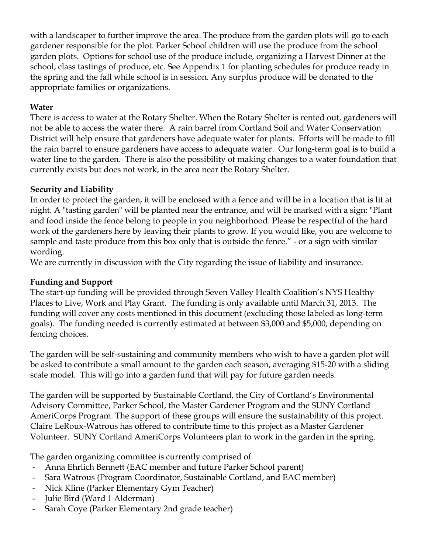with a landscaper to further improve the area. The produce from the garden plots will go to each gardener responsible for the plot. Parker School children will use the produce from the school garden plots. Options for school use of the produce include, organizing a Harvest Dinner at the school, class tastings of produce, etc. See Appendix 1 for planting schedules for produce ready in the spring and the fall while school is in session. Any surplus produce will be donated to the appropriate families or organizations.

## **Water**

There is access to water at the Rotary Shelter. When the Rotary Shelter is rented out, gardeners will not be able to access the water there. A rain barrel from Cortland Soil and Water Conservation District will help ensure that gardeners have adequate water for plants. Efforts will be made to fill the rain barrel to ensure gardeners have access to adequate water. Our long-term goal is to build a water line to the garden. There is also the possibility of making changes to a water foundation that currently exists but does not work, in the area near the Rotary Shelter.

## **Security and Liability**

In order to protect the garden, it will be enclosed with a fence and will be in a location that is lit at night. A "tasting garden" will be planted near the entrance, and will be marked with a sign: "Plant and food inside the fence belong to people in you neighborhood. Please be respectful of the hard work of the gardeners here by leaving their plants to grow. If you would like, you are welcome to sample and taste produce from this box only that is outside the fence." - or a sign with similar wording.

We are currently in discussion with the City regarding the issue of liability and insurance.

## **Funding and Support**

The start-up funding will be provided through Seven Valley Health Coalition's NYS Healthy Places to Live, Work and Play Grant. The funding is only available until March 31, 2013. The funding will cover any costs mentioned in this document (excluding those labeled as long-term goals). The funding needed is currently estimated at between \$3,000 and \$5,000, depending on fencing choices.

The garden will be self-sustaining and community members who wish to have a garden plot will be asked to contribute a small amount to the garden each season, averaging \$15-20 with a sliding scale model. This will go into a garden fund that will pay for future garden needs.

The garden will be supported by Sustainable Cortland, the City of Cortland's Environmental Advisory Committee, Parker School, the Master Gardener Program and the SUNY Cortland AmeriCorps Program. The support of these groups will ensure the sustainability of this project. Claire LeRoux-Watrous has offered to contribute time to this project as a Master Gardener Volunteer. SUNY Cortland AmeriCorps Volunteers plan to work in the garden in the spring.

The garden organizing committee is currently comprised of:

- Anna Ehrlich Bennett (EAC member and future Parker School parent)
- Sara Watrous (Program Coordinator, Sustainable Cortland, and EAC member)
- Nick Kline (Parker Elementary Gym Teacher)
- Julie Bird (Ward 1 Alderman)
- Sarah Coye (Parker Elementary 2nd grade teacher)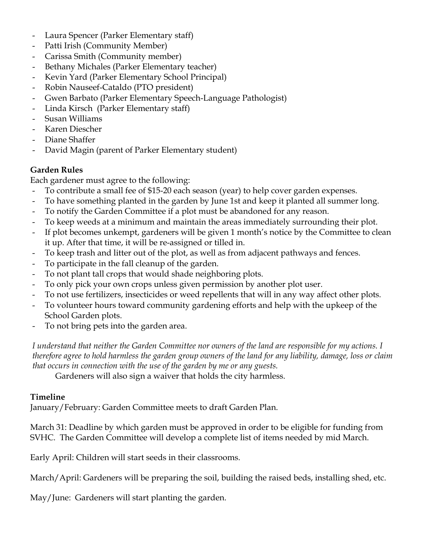- Laura Spencer (Parker Elementary staff)
- Patti Irish (Community Member)
- Carissa Smith (Community member)
- Bethany Michales (Parker Elementary teacher)
- Kevin Yard (Parker Elementary School Principal)
- Robin Nauseef-Cataldo (PTO president)
- Gwen Barbato (Parker Elementary Speech-Language Pathologist)
- Linda Kirsch (Parker Elementary staff)
- Susan Williams
- Karen Diescher
- Diane Shaffer
- David Magin (parent of Parker Elementary student)

# **Garden Rules**

Each gardener must agree to the following:

- To contribute a small fee of \$15-20 each season (year) to help cover garden expenses.
- To have something planted in the garden by June 1st and keep it planted all summer long.
- To notify the Garden Committee if a plot must be abandoned for any reason.
- To keep weeds at a minimum and maintain the areas immediately surrounding their plot.
- If plot becomes unkempt, gardeners will be given 1 month's notice by the Committee to clean it up. After that time, it will be re-assigned or tilled in.
- To keep trash and litter out of the plot, as well as from adjacent pathways and fences.
- To participate in the fall cleanup of the garden.
- To not plant tall crops that would shade neighboring plots.
- To only pick your own crops unless given permission by another plot user.
- To not use fertilizers, insecticides or weed repellents that will in any way affect other plots.
- To volunteer hours toward community gardening efforts and help with the upkeep of the School Garden plots.
- To not bring pets into the garden area.

*I understand that neither the Garden Committee nor owners of the land are responsible for my actions. I therefore agree to hold harmless the garden group owners of the land for any liability, damage, loss or claim that occurs in connection with the use of the garden by me or any guests.* 

Gardeners will also sign a waiver that holds the city harmless.

# **Timeline**

January/February: Garden Committee meets to draft Garden Plan.

March 31: Deadline by which garden must be approved in order to be eligible for funding from SVHC. The Garden Committee will develop a complete list of items needed by mid March.

Early April: Children will start seeds in their classrooms.

March/April: Gardeners will be preparing the soil, building the raised beds, installing shed, etc.

May/June: Gardeners will start planting the garden.